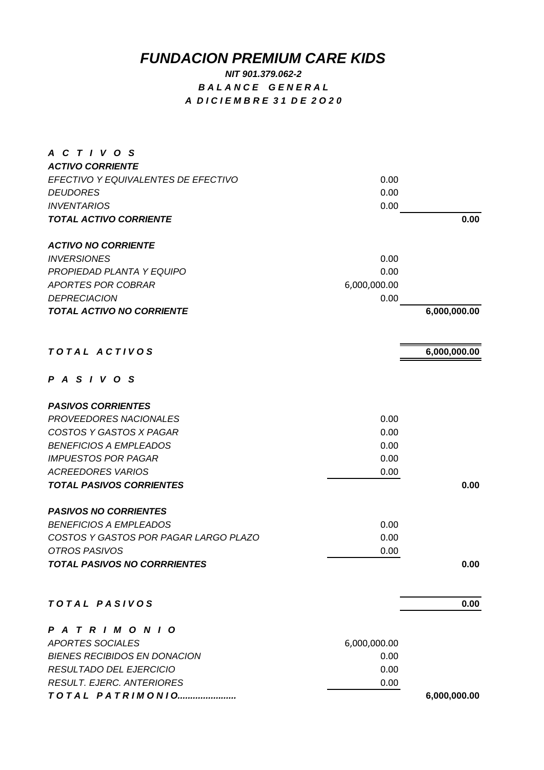## *FUNDACION PREMIUM CARE KIDS*

## *NIT 901.379.062-2 B A L A N C E G E N E R A L A D I C I E M B R E 3 1 D E 2 O 2 0*

| A C T I V O S                         |              |              |
|---------------------------------------|--------------|--------------|
| <b>ACTIVO CORRIENTE</b>               |              |              |
| EFECTIVO Y EQUIVALENTES DE EFECTIVO   | 0.00         |              |
| <b>DEUDORES</b>                       | 0.00         |              |
| <b>INVENTARIOS</b>                    | 0.00         | 0.00         |
| <b>TOTAL ACTIVO CORRIENTE</b>         |              |              |
| <b>ACTIVO NO CORRIENTE</b>            |              |              |
| <b>INVERSIONES</b>                    | 0.00         |              |
| PROPIEDAD PLANTA Y EQUIPO             | 0.00         |              |
| <b>APORTES POR COBRAR</b>             | 6,000,000.00 |              |
| <b>DEPRECIACION</b>                   | 0.00         |              |
| <b>TOTAL ACTIVO NO CORRIENTE</b>      |              | 6,000,000.00 |
|                                       |              |              |
| TOTAL ACTIVOS                         |              | 6,000,000.00 |
| PASIVOS                               |              |              |
| <b>PASIVOS CORRIENTES</b>             |              |              |
| <b>PROVEEDORES NACIONALES</b>         | 0.00         |              |
| <b>COSTOS Y GASTOS X PAGAR</b>        | 0.00         |              |
| <b>BENEFICIOS A EMPLEADOS</b>         | 0.00         |              |
| <b>IMPUESTOS POR PAGAR</b>            | 0.00         |              |
| <b>ACREEDORES VARIOS</b>              | 0.00         |              |
| <b>TOTAL PASIVOS CORRIENTES</b>       |              | 0.00         |
| <b>PASIVOS NO CORRIENTES</b>          |              |              |
| <b>BENEFICIOS A EMPLEADOS</b>         | 0.00         |              |
| COSTOS Y GASTOS POR PAGAR LARGO PLAZO | 0.00         |              |
| OTROS PASIVOS                         | 0.00         |              |
| <b>TOTAL PASIVOS NO CORRRIENTES</b>   |              | 0.00         |
| TOTAL PASIVOS                         |              | 0.00         |
| PATRIMONIO                            |              |              |
| <b>APORTES SOCIALES</b>               | 6,000,000.00 |              |
| <b>BIENES RECIBIDOS EN DONACION</b>   | 0.00         |              |
| RESULTADO DEL EJERCICIO               | 0.00         |              |
| <b>RESULT. EJERC. ANTERIORES</b>      | 0.00         |              |
| TOTAL PATRIMONIO                      |              | 6,000,000.00 |
|                                       |              |              |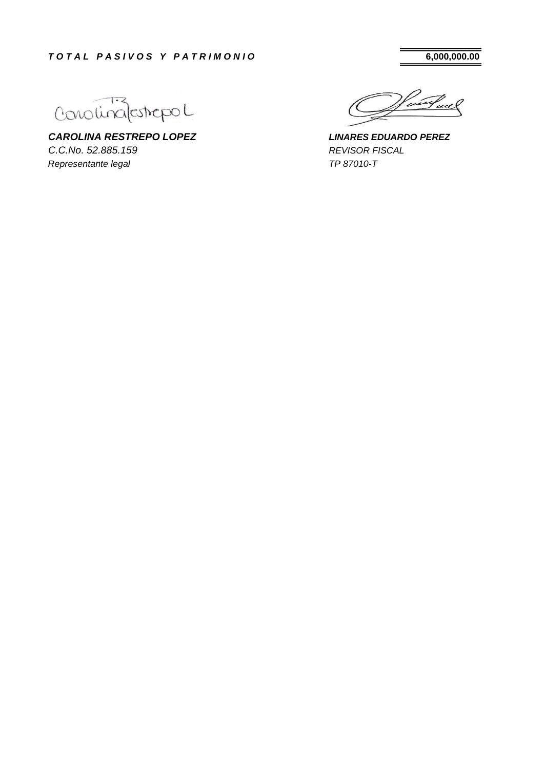Conolina/estrepol

*CAROLINA RESTREPO LOPEZ C.C.No. 52.885.159 Representante legal*

tuel

*REVISOR FISCAL TP 87010-T LINARES EDUARDO PEREZ*